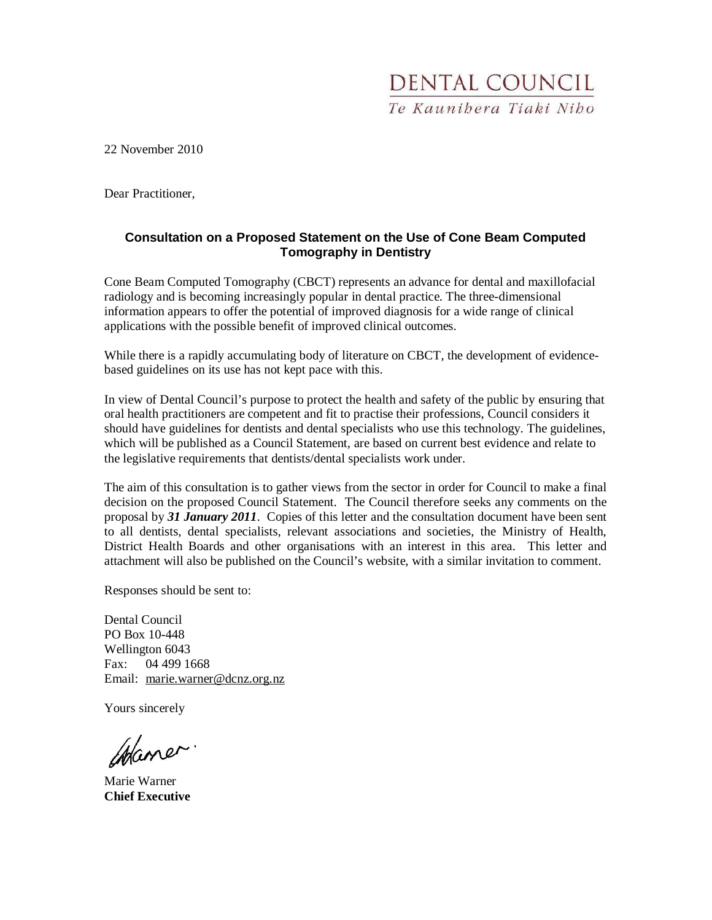

22 November 2010

Dear Practitioner,

#### **Consultation on a Proposed Statement on the Use of Cone Beam Computed Tomography in Dentistry**

Cone Beam Computed Tomography (CBCT) represents an advance for dental and maxillofacial radiology and is becoming increasingly popular in dental practice. The three-dimensional information appears to offer the potential of improved diagnosis for a wide range of clinical applications with the possible benefit of improved clinical outcomes.

While there is a rapidly accumulating body of literature on CBCT, the development of evidencebased guidelines on its use has not kept pace with this.

In view of Dental Council's purpose to protect the health and safety of the public by ensuring that oral health practitioners are competent and fit to practise their professions, Council considers it should have guidelines for dentists and dental specialists who use this technology. The guidelines, which will be published as a Council Statement, are based on current best evidence and relate to the legislative requirements that dentists/dental specialists work under.

The aim of this consultation is to gather views from the sector in order for Council to make a final decision on the proposed Council Statement. The Council therefore seeks any comments on the proposal by *31 January 2011*. Copies of this letter and the consultation document have been sent to all dentists, dental specialists, relevant associations and societies, the Ministry of Health, District Health Boards and other organisations with an interest in this area. This letter and attachment will also be published on the Council's website, with a similar invitation to comment.

Responses should be sent to:

Dental Council PO Box 10-448 Wellington 6043 Fax: 04 499 1668 Email: marie.warner@dcnz.org.nz

Yours sincerely

Waner.

Marie Warner **Chief Executive**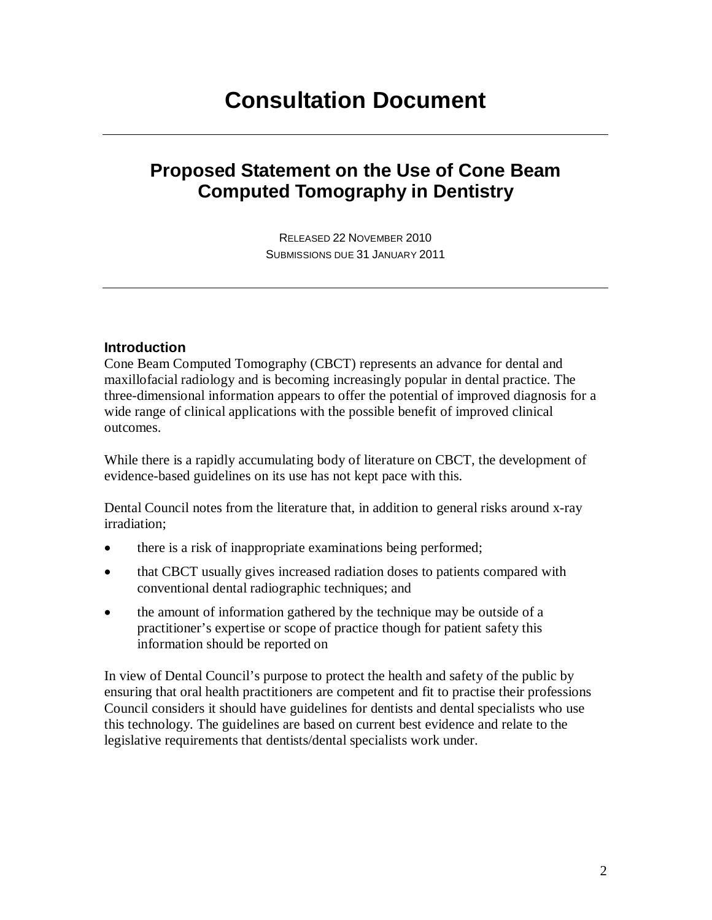# **Consultation Document**

# **Proposed Statement on the Use of Cone Beam Computed Tomography in Dentistry**

RELEASED 22 NOVEMBER 2010 SUBMISSIONS DUE 31 JANUARY 2011

#### **Introduction**

Cone Beam Computed Tomography (CBCT) represents an advance for dental and maxillofacial radiology and is becoming increasingly popular in dental practice. The three-dimensional information appears to offer the potential of improved diagnosis for a wide range of clinical applications with the possible benefit of improved clinical outcomes.

While there is a rapidly accumulating body of literature on CBCT, the development of evidence-based guidelines on its use has not kept pace with this.

Dental Council notes from the literature that, in addition to general risks around x-ray irradiation;

- there is a risk of inappropriate examinations being performed;
- that CBCT usually gives increased radiation doses to patients compared with conventional dental radiographic techniques; and
- the amount of information gathered by the technique may be outside of a practitioner's expertise or scope of practice though for patient safety this information should be reported on

In view of Dental Council's purpose to protect the health and safety of the public by ensuring that oral health practitioners are competent and fit to practise their professions Council considers it should have guidelines for dentists and dental specialists who use this technology. The guidelines are based on current best evidence and relate to the legislative requirements that dentists/dental specialists work under.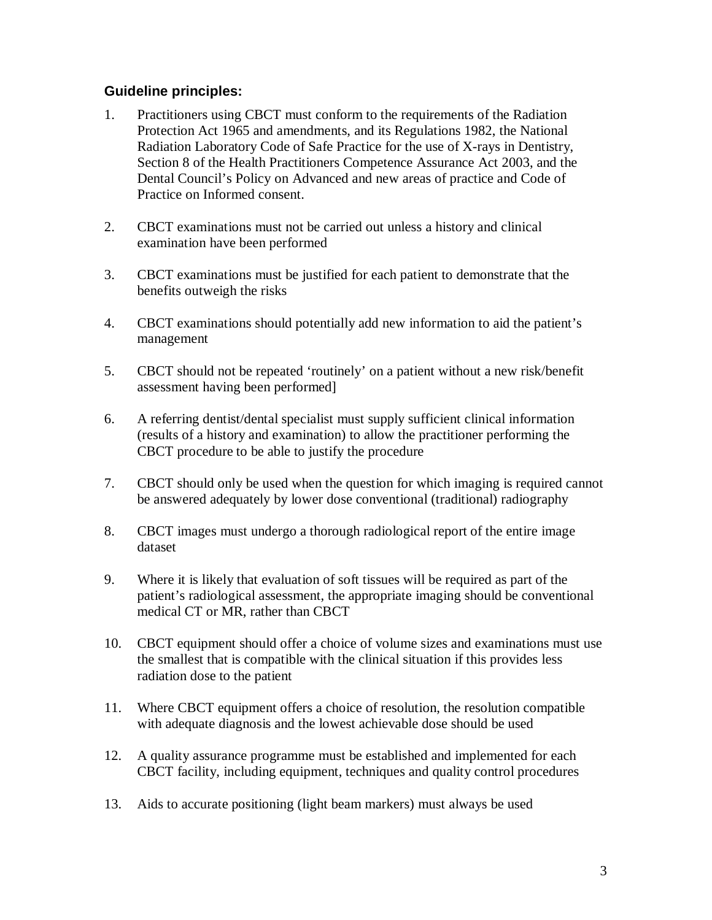### **Guideline principles:**

- 1. Practitioners using CBCT must conform to the requirements of the Radiation Protection Act 1965 and amendments, and its Regulations 1982, the National Radiation Laboratory Code of Safe Practice for the use of X-rays in Dentistry, Section 8 of the Health Practitioners Competence Assurance Act 2003, and the Dental Council's Policy on Advanced and new areas of practice and Code of Practice on Informed consent.
- 2. CBCT examinations must not be carried out unless a history and clinical examination have been performed
- 3. CBCT examinations must be justified for each patient to demonstrate that the benefits outweigh the risks
- 4. CBCT examinations should potentially add new information to aid the patient's management
- 5. CBCT should not be repeated 'routinely' on a patient without a new risk/benefit assessment having been performed]
- 6. A referring dentist/dental specialist must supply sufficient clinical information (results of a history and examination) to allow the practitioner performing the CBCT procedure to be able to justify the procedure
- 7. CBCT should only be used when the question for which imaging is required cannot be answered adequately by lower dose conventional (traditional) radiography
- 8. CBCT images must undergo a thorough radiological report of the entire image dataset
- 9. Where it is likely that evaluation of soft tissues will be required as part of the patient's radiological assessment, the appropriate imaging should be conventional medical CT or MR, rather than CBCT
- 10. CBCT equipment should offer a choice of volume sizes and examinations must use the smallest that is compatible with the clinical situation if this provides less radiation dose to the patient
- 11. Where CBCT equipment offers a choice of resolution, the resolution compatible with adequate diagnosis and the lowest achievable dose should be used
- 12. A quality assurance programme must be established and implemented for each CBCT facility, including equipment, techniques and quality control procedures
- 13. Aids to accurate positioning (light beam markers) must always be used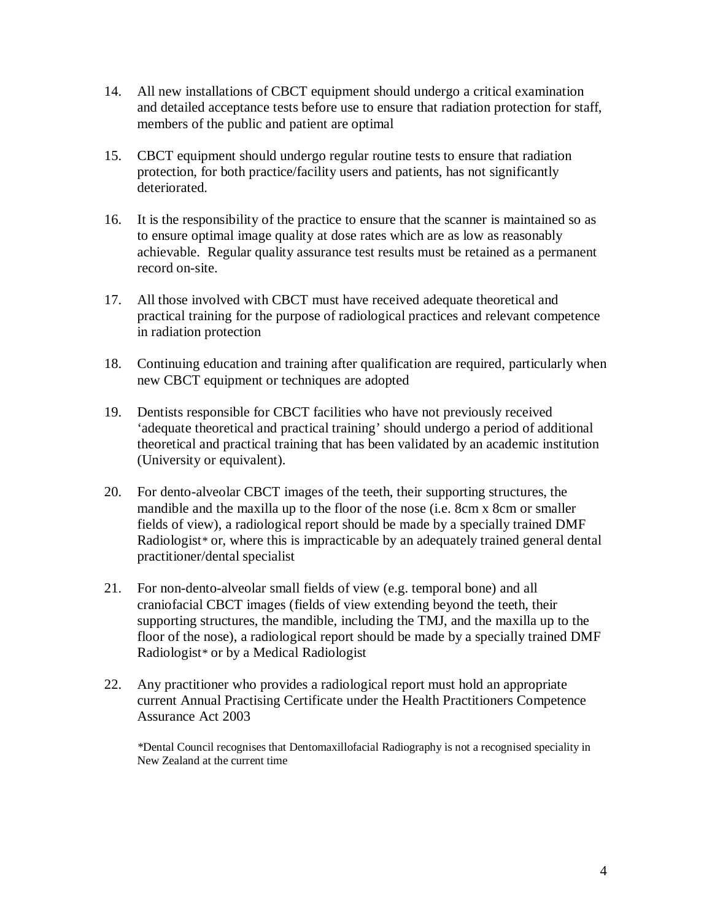- 14. All new installations of CBCT equipment should undergo a critical examination and detailed acceptance tests before use to ensure that radiation protection for staff, members of the public and patient are optimal
- 15. CBCT equipment should undergo regular routine tests to ensure that radiation protection, for both practice/facility users and patients, has not significantly deteriorated.
- 16. It is the responsibility of the practice to ensure that the scanner is maintained so as to ensure optimal image quality at dose rates which are as low as reasonably achievable. Regular quality assurance test results must be retained as a permanent record on-site.
- 17. All those involved with CBCT must have received adequate theoretical and practical training for the purpose of radiological practices and relevant competence in radiation protection
- 18. Continuing education and training after qualification are required, particularly when new CBCT equipment or techniques are adopted
- 19. Dentists responsible for CBCT facilities who have not previously received 'adequate theoretical and practical training' should undergo a period of additional theoretical and practical training that has been validated by an academic institution (University or equivalent).
- 20. For dento-alveolar CBCT images of the teeth, their supporting structures, the mandible and the maxilla up to the floor of the nose (i.e. 8cm x 8cm or smaller fields of view), a radiological report should be made by a specially trained DMF Radiologist*\** or, where this is impracticable by an adequately trained general dental practitioner/dental specialist
- 21. For non-dento-alveolar small fields of view (e.g. temporal bone) and all craniofacial CBCT images (fields of view extending beyond the teeth, their supporting structures, the mandible, including the TMJ, and the maxilla up to the floor of the nose), a radiological report should be made by a specially trained DMF Radiologist*\** or by a Medical Radiologist
- 22. Any practitioner who provides a radiological report must hold an appropriate current Annual Practising Certificate under the Health Practitioners Competence Assurance Act 2003

*\**Dental Council recognises that Dentomaxillofacial Radiography is not a recognised speciality in New Zealand at the current time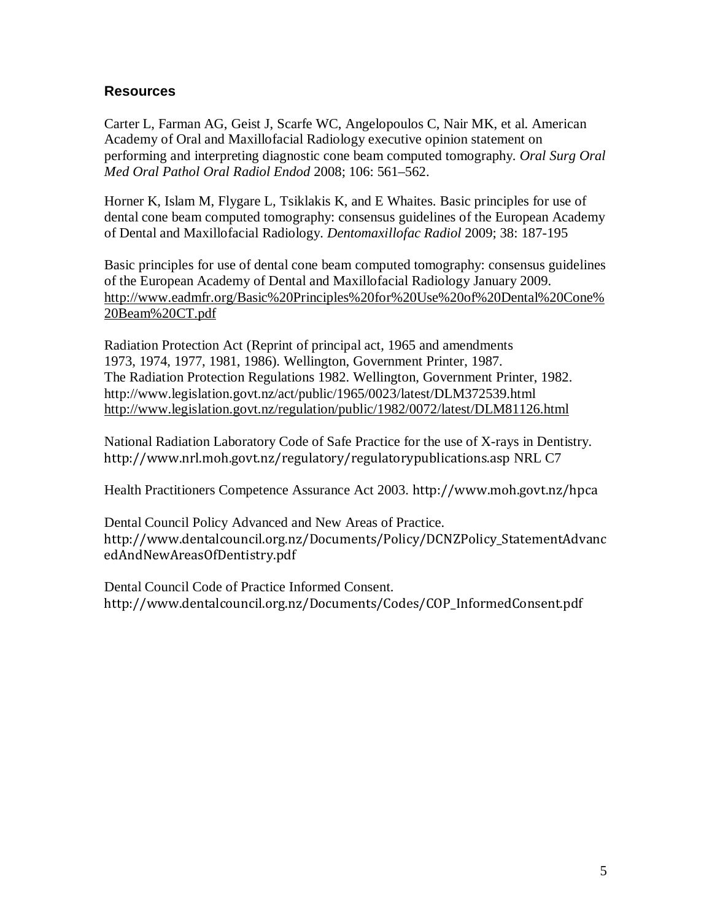## **Resources**

Carter L, Farman AG, Geist J, Scarfe WC, Angelopoulos C, Nair MK, et al. American Academy of Oral and Maxillofacial Radiology executive opinion statement on performing and interpreting diagnostic cone beam computed tomography. *Oral Surg Oral Med Oral Pathol Oral Radiol Endod* 2008; 106: 561–562.

Horner K, Islam M, Flygare L, Tsiklakis K, and E Whaites. Basic principles for use of dental cone beam computed tomography: consensus guidelines of the European Academy of Dental and Maxillofacial Radiology. *Dentomaxillofac Radiol* 2009; 38: 187-195

Basic principles for use of dental cone beam computed tomography: consensus guidelines of the European Academy of Dental and Maxillofacial Radiology January 2009. http://www.eadmfr.org/Basic%20Principles%20for%20Use%20of%20Dental%20Cone% 20Beam%20CT.pdf

Radiation Protection Act (Reprint of principal act, 1965 and amendments 1973, 1974, 1977, 1981, 1986). Wellington, Government Printer, 1987. The Radiation Protection Regulations 1982. Wellington, Government Printer, 1982. http://www.legislation.govt.nz/act/public/1965/0023/latest/DLM372539.html http://www.legislation.govt.nz/regulation/public/1982/0072/latest/DLM81126.html

National Radiation Laboratory Code of Safe Practice for the use of X-rays in Dentistry. http://www.nrl.moh.govt.nz/regulatory/regulatorypublications.asp NRL C7

Health Practitioners Competence Assurance Act 2003. http://www.moh.govt.nz/hpca

Dental Council Policy Advanced and New Areas of Practice. http://www.dentalcouncil.org.nz/Documents/Policy/DCNZPolicy\_StatementAdvanc edAndNewAreasOfDentistry.pdf

Dental Council Code of Practice Informed Consent. http://www.dentalcouncil.org.nz/Documents/Codes/COP\_InformedConsent.pdf